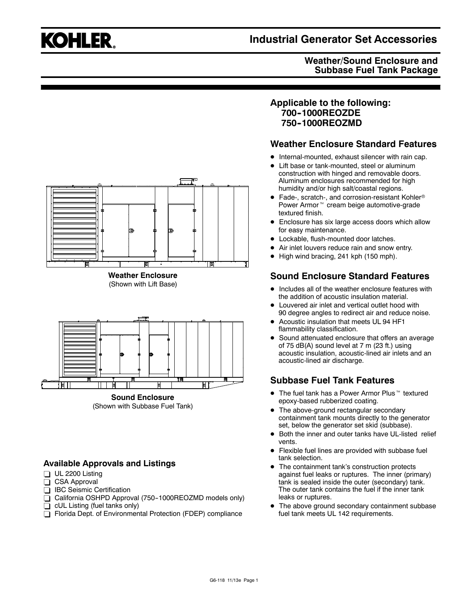# **KOHLER.**

# **Industrial Generator Set Accessories**

## **Weather/Sound Enclosure and Subbase Fuel Tank Package**



**Sound Enclosure** (Shown with Subbase Fuel Tank)

闻

## **Available Approvals and Listings**

- $\Box$  UL 2200 Listing
- $\overline{\Box}$  CSA Approval
- □ IBC Seismic Certification
- $\overline{\Box}$  California OSHPD Approval (750-1000REOZMD models only)
- $\Box$  cUL Listing (fuel tanks only)
- Florida Dept. of Environmental Protection (FDEP) compliance

## **Applicable to the following: 700--1000REOZDE 750--1000REOZMD**

## **Weather Enclosure Standard Features**

- $\bullet$  Internal-mounted, exhaust silencer with rain cap.
- Lift base or tank-mounted, steel or aluminum construction with hinged and removable doors. Aluminum enclosures recommended for high humidity and/or high salt/coastal regions.
- $\bullet$  Fade-, scratch-, and corrosion-resistant Kohler® Power Armor<sup>™</sup> cream beige automotive-grade textured finish.
- Enclosure has six large access doors which allow for easy maintenance.
- $\bullet$  Lockable, flush-mounted door latches.
- Air inlet louvers reduce rain and snow entry.
- High wind bracing, 241 kph (150 mph).

# **Sound Enclosure Standard Features**

- Includes all of the weather enclosure features with the addition of acoustic insulation material.
- Louvered air inlet and vertical outlet hood with 90 degree angles to redirect air and reduce noise.
- Acoustic insulation that meets UL 94 HF1 flammability classification.
- Sound attenuated enclosure that offers an average of 75 dB(A) sound level at 7 m (23 ft.) using acoustic insulation, acoustic-lined air inlets and an acoustic-lined air discharge.

## **Subbase Fuel Tank Features**

- $\bullet$  The fuel tank has a Power Armor Plus  $\mathbb {M}$  textured epoxy-based rubberized coating.
- The above-ground rectangular secondary containment tank mounts directly to the generator set, below the generator set skid (subbase).
- Both the inner and outer tanks have UL-listed relief vents.
- Flexible fuel lines are provided with subbase fuel tank selection.
- The containment tank's construction protects against fuel leaks or ruptures. The inner (primary) tank is sealed inside the outer (secondary) tank. The outer tank contains the fuel if the inner tank leaks or ruptures.
- The above ground secondary containment subbase fuel tank meets UL 142 requirements.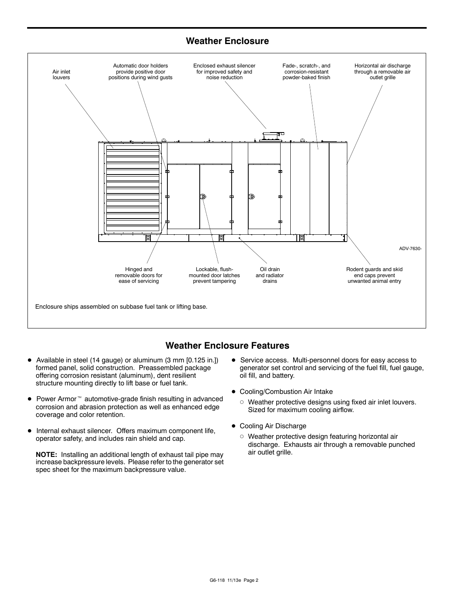## **Weather Enclosure**



## **Weather Enclosure Features**

- Available in steel (14 gauge) or aluminum (3 mm [0.125 in.]) formed panel, solid construction. Preassembled package offering corrosion resistant (aluminum), dent resilient structure mounting directly to lift base or fuel tank.
- $\bullet$  Power Armor<sup> $m$ </sup> automotive-grade finish resulting in advanced corrosion and abrasion protection as well as enhanced edge coverage and color retention.
- $\bullet$  Internal exhaust silencer. Offers maximum component life, operator safety, and includes rain shield and cap.

**NOTE:** Installing an additional length of exhaust tail pipe may increase backpressure levels. Please refer to the generator set spec sheet for the maximum backpressure value.

- **•** Service access. Multi-personnel doors for easy access to generator set control and servicing of the fuel fill, fuel gauge, oil fill, and battery.
- Cooling/Combustion Air Intake
	- $\circ$  Weather protective designs using fixed air inlet louvers. Sized for maximum cooling airflow.
- Cooling Air Discharge
	- $\circ$  Weather protective design featuring horizontal air discharge. Exhausts air through a removable punched air outlet grille.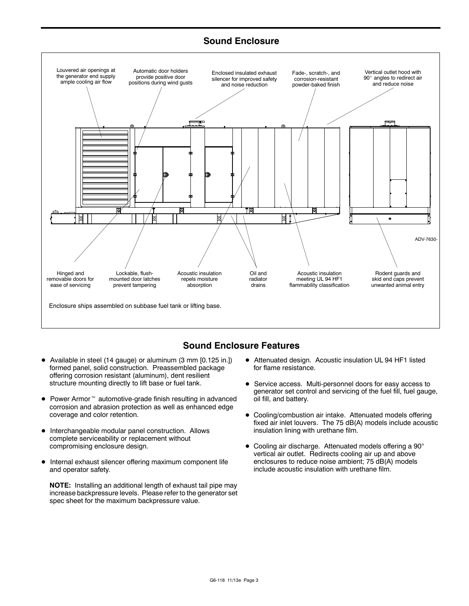## **Sound Enclosure**



## **Sound Enclosure Features**

- Available in steel (14 gauge) or aluminum (3 mm [0.125 in.]) formed panel, solid construction. Preassembled package offering corrosion resistant (aluminum), dent resilient structure mounting directly to lift base or fuel tank.
- $\bullet$  Power Armor<sup> $m$ </sup> automotive-grade finish resulting in advanced corrosion and abrasion protection as well as enhanced edge coverage and color retention.
- $\bullet$  Interchangeable modular panel construction. Allows complete serviceability or replacement without compromising enclosure design.
- $\bullet$  Internal exhaust silencer offering maximum component life and operator safety.

**NOTE:** Installing an additional length of exhaust tail pipe may increase backpressure levels. Please refer to the generator set spec sheet for the maximum backpressure value.

- $\bullet$  Attenuated design. Acoustic insulation UL 94 HF1 listed for flame resistance.
- **•** Service access. Multi-personnel doors for easy access to generator set control and servicing of the fuel fill, fuel gauge, oil fill, and battery.
- Cooling/combustion air intake. Attenuated models offering fixed air inlet louvers. The 75 dB(A) models include acoustic insulation lining with urethane film.
- $\bullet$  Cooling air discharge. Attenuated models offering a 90 $^{\circ}$ vertical air outlet. Redirects cooling air up and above enclosures to reduce noise ambient; 75 dB(A) models include acoustic insulation with urethane film.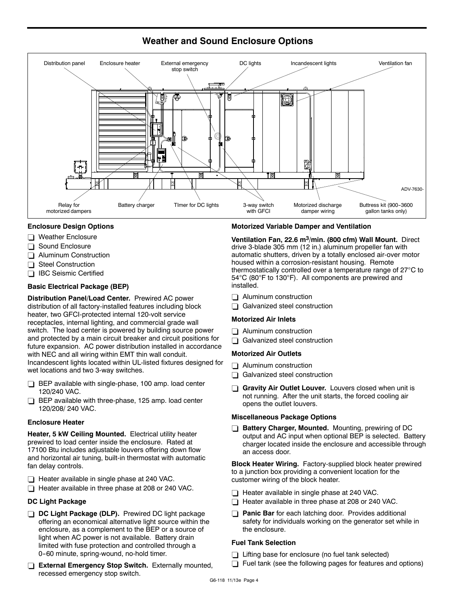

## **Weather and Sound Enclosure Options**

#### **Enclosure Design Options**

- $\Box$  Weather Enclosure
- Sound Enclosure
- $\Box$  Aluminum Construction
- Steel Construction
- □ IBC Seismic Certified

#### **Basic Electrical Package (BEP)**

**Distribution Panel/Load Center.** Prewired AC power distribution of all factory-installed features including block heater, two GFCI-protected internal 120-volt service receptacles, internal lighting, and commercial grade wall switch. The load center is powered by building source power and protected by a main circuit breaker and circuit positions for future expansion. AC power distribution installed in accordance with NEC and all wiring within EMT thin wall conduit. Incandescent lights located within UL-listed fixtures designed for wet locations and two 3-way switches.

- $\Box$  BEP available with single-phase, 100 amp. load center 120/240 VAC.
- $\Box$  BEP available with three-phase, 125 amp. load center 120/208/ 240 VAC.

#### **Enclosure Heater**

**Heater, 5 kW Ceiling Mounted.** Electrical utility heater prewired to load center inside the enclosure. Rated at 17100 Btu includes adjustable louvers offering down flow and horizontal air tuning, built-in thermostat with automatic fan delay controls.

- $\Box$  Heater available in single phase at 240 VAC.
- Heater available in three phase at 208 or 240 VAC.

#### **DC Light Package**

- **DC Light Package (DLP).** Prewired DC light package offering an economical alternative light source within the enclosure, as a complement to the BEP or a source of light when AC power is not available. Battery drain limited with fuse protection and controlled through a 0-60 minute, spring-wound, no-hold timer.
- **External Emergency Stop Switch.** Externally mounted, recessed emergency stop switch.

#### **Motorized Variable Damper and Ventilation**

**Ventilation Fan, 22.6 m3/min. (800 cfm) Wall Mount.** Direct drive 3-blade 305 mm (12 in.) aluminum propeller fan with automatic shutters, driven by a totally enclosed air-over motor housed within a corrosion-resistant housing. Remote thermostatically controlled over a temperature range of  $27^{\circ}$ C to 54°C (80°F to 130°F). All components are prewired and installed.

- $\Box$  Aluminum construction
- $\Box$  Galvanized steel construction

#### **Motorized Air Inlets**

- $\Box$  Aluminum construction
- $\Box$  Galvanized steel construction

#### **Motorized Air Outlets**

- $\Box$  Aluminum construction
- $\Box$  Galvanized steel construction
- Gravity Air Outlet Louver. Louvers closed when unit is not running. After the unit starts, the forced cooling air opens the outlet louvers.

#### **Miscellaneous Package Options**

**Battery Charger, Mounted.** Mounting, prewiring of DC output and AC input when optional BEP is selected. Battery charger located inside the enclosure and accessible through an access door.

**Block Heater Wiring.** Factory-supplied block heater prewired to a junction box providing a convenient location for the customer wiring of the block heater.

- $\Box$  Heater available in single phase at 240 VAC.
- $\Box$  Heater available in three phase at 208 or 240 VAC.
- **Panic Bar** for each latching door. Provides additional safety for individuals working on the generator set while in the enclosure.

#### **Fuel Tank Selection**

- $\Box$  Lifting base for enclosure (no fuel tank selected)
- Fuel tank (see the following pages for features and options)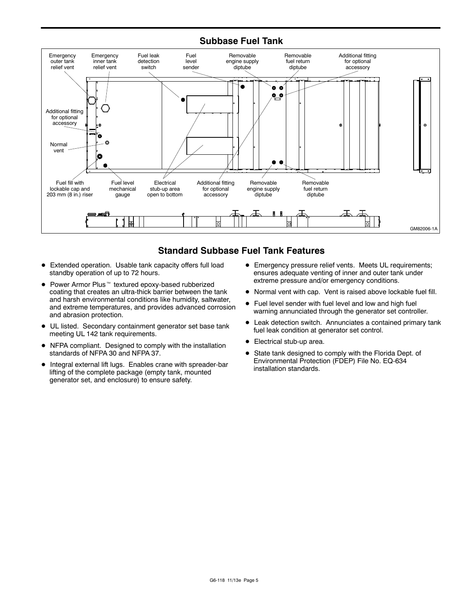## **Subbase Fuel Tank**



## **Standard Subbase Fuel Tank Features**

- Extended operation. Usable tank capacity offers full load standby operation of up to 72 hours.
- $\bullet$  Power Armor Plus  $\mathbb{M}$  textured epoxy-based rubberized coating that creates an ultra-thick barrier between the tank and harsh environmental conditions like humidity, saltwater, and extreme temperatures, and provides advanced corrosion and abrasion protection.
- $\bullet$  UL listed. Secondary containment generator set base tank meeting UL 142 tank requirements.
- NFPA compliant. Designed to comply with the installation standards of NFPA 30 and NFPA 37.
- $\bullet$  Integral external lift lugs. Enables crane with spreader-bar lifting of the complete package (empty tank, mounted generator set, and enclosure) to ensure safety.
- **•** Emergency pressure relief vents. Meets UL requirements; ensures adequate venting of inner and outer tank under extreme pressure and/or emergency conditions.
- $\bullet$  Normal vent with cap. Vent is raised above lockable fuel fill.
- Fuel level sender with fuel level and low and high fuel warning annunciated through the generator set controller.
- Leak detection switch. Annunciates a contained primary tank fuel leak condition at generator set control.
- Electrical stub-up area.
- State tank designed to comply with the Florida Dept. of Environmental Protection (FDEP) File No. EQ-634 installation standards.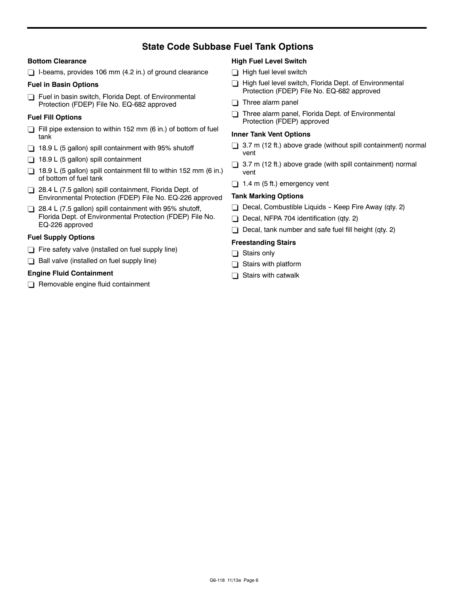## **State Code Subbase Fuel Tank Options**

#### **Bottom Clearance**

 $\Box$  I-beams, provides 106 mm (4.2 in.) of ground clearance

#### **Fuel in Basin Options**

Fuel in basin switch, Florida Dept. of Environmental Protection (FDEP) File No. EQ-682 approved

#### **Fuel Fill Options**

- $\Box$  Fill pipe extension to within 152 mm (6 in.) of bottom of fuel tank
- $\Box$  18.9 L (5 gallon) spill containment with 95% shutoff
- $\Box$  18.9 L (5 gallon) spill containment
- $\Box$  18.9 L (5 gallon) spill containment fill to within 152 mm (6 in.) of bottom of fuel tank
- 28.4 L (7.5 gallon) spill containment, Florida Dept. of Environmental Protection (FDEP) File No. EQ-226 approved
- $\Box$  28.4 L (7.5 gallon) spill containment with 95% shutoff, Florida Dept. of Environmental Protection (FDEP) File No. EQ-226 approved

#### **Fuel Supply Options**

- $\Box$  Fire safety valve (installed on fuel supply line)
- $\Box$  Ball valve (installed on fuel supply line)

#### **Engine Fluid Containment**

 $\Box$  Removable engine fluid containment

#### **High Fuel Level Switch**

- $\Box$  High fuel level switch
- High fuel level switch, Florida Dept. of Environmental Protection (FDEP) File No. EQ-682 approved
- $\Box$  Three alarm panel
- Three alarm panel, Florida Dept. of Environmental Protection (FDEP) approved

#### **Inner Tank Vent Options**

- $\Box$  3.7 m (12 ft.) above grade (without spill containment) normal vent
- $\Box$  3.7 m (12 ft.) above grade (with spill containment) normal vent
- $\Box$  1.4 m (5 ft.) emergency vent

#### **Tank Marking Options**

- $\Box$  Decal, Combustible Liquids Keep Fire Away (qty. 2)
- Decal, NFPA 704 identification (qty. 2)
- $\Box$  Decal, tank number and safe fuel fill height (qty. 2)

#### **Freestanding Stairs**

- $\Box$  Stairs only
- $\Box$  Stairs with platform
- $\Box$  Stairs with catwalk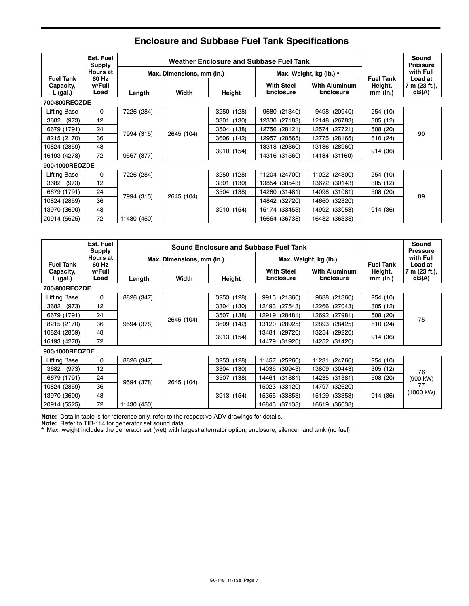|                                             | Est. Fuel<br><b>Supply</b> |             | Weather Enclosure and Subbase Fuel Tank |               |                                       |                                          |                                           | Sound<br><b>Pressure</b>          |
|---------------------------------------------|----------------------------|-------------|-----------------------------------------|---------------|---------------------------------------|------------------------------------------|-------------------------------------------|-----------------------------------|
|                                             | Hours at                   |             | Max. Dimensions, mm (in.)               |               |                                       | Max. Weight, kg (lb.) *                  |                                           | with Full                         |
| <b>Fuel Tank</b><br>Capacity,<br>$L$ (gal.) | 60 Hz<br>w/Full<br>Load    | Length      | Width                                   | Height        | <b>With Steel</b><br><b>Enclosure</b> | <b>With Aluminum</b><br><b>Enclosure</b> | <b>Fuel Tank</b><br>Height,<br>$mm$ (in.) | Load at<br>7 m (23 ft.),<br>dB(A) |
| 700/800REOZDE                               |                            |             |                                         |               |                                       |                                          |                                           |                                   |
| Lifting Base                                | 0                          | 7226 (284)  |                                         | 3250 (128)    | 9680 (21340)                          | 9498 (20940)                             | 254 (10)                                  |                                   |
| (973)<br>3682                               | 12                         |             |                                         | 3301<br>(130) | 12330 (27183)                         | 12148 (26783)                            | 305 (12)                                  |                                   |
| 6679 (1791)                                 | 24                         | 7994 (315)  | 2645 (104)                              | 3504 (138)    | 12756 (28121)                         | 12574 (27721)                            | 508 (20)                                  | 90                                |
| 8215 (2170)                                 | 36                         |             |                                         | 3606 (142)    | (28565)<br>12957                      | 12775 (28165)                            | 610 (24)                                  |                                   |
| 10824 (2859)                                | 48                         |             |                                         | 3910 (154)    | 13318 (29360)                         | 13136 (28960)                            | 914 (36)                                  |                                   |
| 16193 (4278)                                | 72                         | 9567 (377)  |                                         |               | 14316 (31560)                         | 14134 (31160)                            |                                           |                                   |
| 900/1000REOZDE                              |                            |             |                                         |               |                                       |                                          |                                           |                                   |
| Lifting Base                                | 0                          | 7226 (284)  |                                         | 3250 (128)    | 11204 (24700)                         | 11022 (24300)                            | 254 (10)                                  |                                   |
| (973)<br>3682                               | 12                         |             |                                         | (130)<br>3301 | 13854 (30543)                         | 13672 (30143)                            | 305(12)                                   |                                   |
| 6679 (1791)                                 | 24                         | 7994 (315)  | 2645 (104)                              | 3504 (138)    | 14280 (31481)                         | (31081)<br>14098                         | 508 (20)                                  | 89                                |
| 10824 (2859)                                | 36                         |             |                                         |               | 14842 (32720)                         | 14660<br>(32320)                         |                                           |                                   |
| 13970 (3690)                                | 48                         |             |                                         | 3910 (154)    | 15174 (33453)                         | 14992<br>(33053)                         | 914 (36)                                  |                                   |
| 20914 (5525)                                | 72                         | 11430 (450) |                                         |               | 16664 (36738)                         | 16482<br>(36338)                         |                                           |                                   |

# **Enclosure and Subbase Fuel Tank Specifications**

|                                           | Est. Fuel<br><b>Supply</b> |             | <b>Sound Enclosure and Subbase Fuel Tank</b> |                  |                                       |                                          |                                           |                                   |
|-------------------------------------------|----------------------------|-------------|----------------------------------------------|------------------|---------------------------------------|------------------------------------------|-------------------------------------------|-----------------------------------|
|                                           | <b>Hours at</b>            |             | Max. Dimensions, mm (in.)                    |                  | Max. Weight, kg (lb.)                 |                                          |                                           | with Full                         |
| <b>Fuel Tank</b><br>Capacity,<br>L (gal.) | 60 Hz<br>w/Full<br>Load    | Length      | Width                                        | Height           | <b>With Steel</b><br><b>Enclosure</b> | <b>With Aluminum</b><br><b>Enclosure</b> | <b>Fuel Tank</b><br>Height,<br>$mm$ (in.) | Load at<br>7 m (23 ft.),<br>dB(A) |
| 700/800REOZDE                             |                            |             |                                              |                  |                                       |                                          |                                           |                                   |
| <b>Lifting Base</b>                       | 0                          | 8826 (347)  |                                              | 3253 (128)       | 9915 (21860)                          | 9688 (21360)                             | 254 (10)                                  |                                   |
| (973)<br>3682                             | 12                         |             |                                              | 3304 (130)       | 12493 (27543)                         | 12266 (27043)                            | 305 (12)                                  |                                   |
| 6679 (1791)                               | 24                         |             | 2645 (104)                                   | 3507 (138)       | (28481)<br>12919                      | 12692 (27981)                            | 508 (20)                                  | 75                                |
| 8215 (2170)                               | 36                         | 9594 (378)  |                                              | 3609 (142)       | 13120<br>(28925)                      | 12893<br>(28425)                         | 610 (24)                                  |                                   |
| 10824 (2859)                              | 48                         |             |                                              | 3913 (154)       | (29720)<br>13481                      | 13254<br>(29220)                         | 914 (36)                                  |                                   |
| 16193 (4278)                              | 72                         |             |                                              |                  | (31920)<br>14479                      | 14252 (31420)                            |                                           |                                   |
| 900/1000REOZDE                            |                            |             |                                              |                  |                                       |                                          |                                           |                                   |
| Lifting Base                              | 0                          | 8826 (347)  |                                              | 3253 (128)       | (25260)<br>11457                      | 11231 (24760)                            | 254 (10)                                  |                                   |
| 3682<br>(973)                             | 12                         |             |                                              | 3304 (130)       | 14035<br>(30943)                      | 13809<br>(30443)                         | 305 (12)                                  | 76                                |
| 6679 (1791)                               | 24                         | 9594 (378)  |                                              | 3507 (138)       | 14461<br>(31881)                      | 14235<br>(31381)                         | 508 (20)                                  | (900 kW)                          |
| 10824 (2859)                              | 36                         |             | 2645 (104)                                   | 15023<br>(33120) | 14797<br>(32620)                      |                                          | 77                                        |                                   |
| 13970 (3690)                              | 48                         |             |                                              | 3913 (154)       | (33853)<br>15355                      | 15129 (33353)                            | 914 (36)                                  | (1000 kW)                         |
| 20914 (5525)                              | 72                         | 11430 (450) |                                              |                  | (37138)<br>16845                      | 16619 (36638)                            |                                           |                                   |

**Note:** Data in table is for reference only, refer to the respective ADV drawings for details.

**Note:** Refer to TIB-114 for generator set sound data.

\* Max. weight includes the generator set (wet) with largest alternator option, enclosure, silencer, and tank (no fuel).